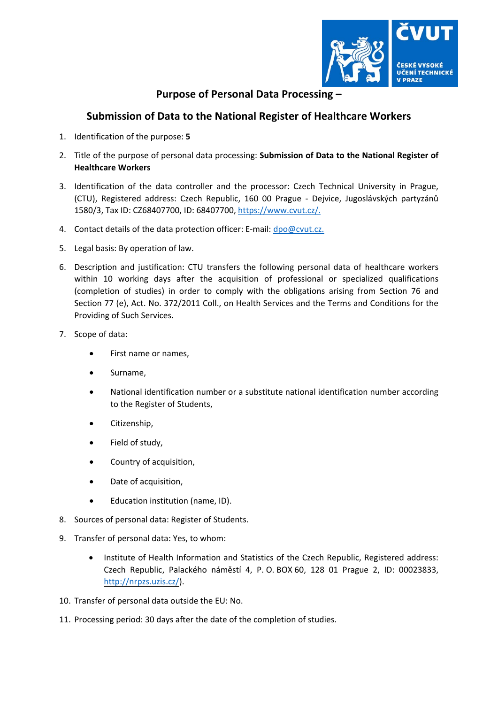

## **Purpose of Personal Data Processing –**

## **Submission of Data to the National Register of Healthcare Workers**

- 1. Identification of the purpose: **5**
- 2. Title of the purpose of personal data processing: **Submission of Data to the National Register of Healthcare Workers**
- 3. Identification of the data controller and the processor: Czech Technical University in Prague, (CTU), Registered address: Czech Republic, 160 00 Prague ‐ Dejvice, Jugoslávských partyzánů 1580/3, Tax ID: CZ68407700, ID: 68407700, https://www.cvut.cz/.
- 4. Contact details of the data protection officer: E-mail: dpo@cvut.cz.
- 5. Legal basis: By operation of law.
- 6. Description and justification: CTU transfers the following personal data of healthcare workers within 10 working days after the acquisition of professional or specialized qualifications (completion of studies) in order to comply with the obligations arising from Section 76 and Section 77 (e), Act. No. 372/2011 Coll., on Health Services and the Terms and Conditions for the Providing of Such Services.
- 7. Scope of data:
	- First name or names,
	- Surname,
	- National identification number or a substitute national identification number according to the Register of Students,
	- Citizenship,
	- Field of study,
	- Country of acquisition,
	- Date of acquisition,
	- Education institution (name, ID).
- 8. Sources of personal data: Register of Students.
- 9. Transfer of personal data: Yes, to whom:
	- Institute of Health Information and Statistics of the Czech Republic, Registered address: Czech Republic, Palackého náměstí 4, P. O. BOX 60, 128 01 Prague 2, ID: 00023833, http://nrpzs.uzis.cz/).
- 10. Transfer of personal data outside the EU: No.
- 11. Processing period: 30 days after the date of the completion of studies.